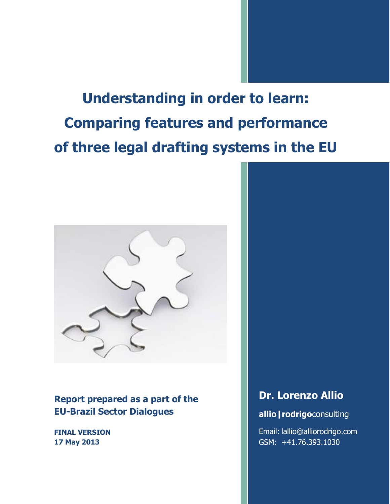**Understanding in order to learn: Comparing features and performance of three legal drafting systems in the EU**



**Report prepared as a part of the EU-Brazil Sector Dialogues**

**FINAL VERSION 17 May 2013**

# **Dr. Lorenzo Allio**

# **allio|rodrigo**consulting

Email: lallio@alliorodrigo.com GSM: +41.76.393.1030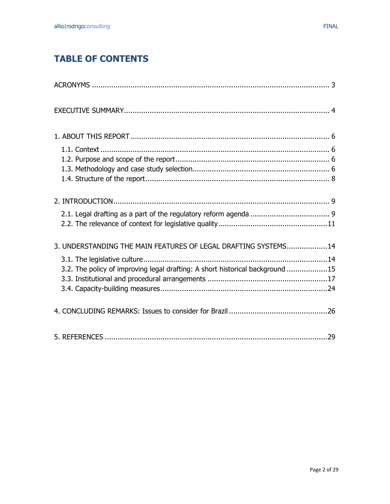# **TABLE OF CONTENTS**

| 3. UNDERSTANDING THE MAIN FEATURES OF LEGAL DRAFTING SYSTEMS14                |
|-------------------------------------------------------------------------------|
|                                                                               |
| 3.2. The policy of improving legal drafting: A short historical background 15 |
|                                                                               |
|                                                                               |
|                                                                               |
|                                                                               |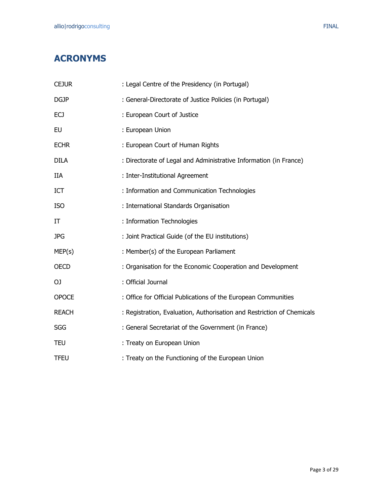# <span id="page-2-0"></span>**ACRONYMS**

| <b>CEJUR</b> | : Legal Centre of the Presidency (in Portugal)                         |
|--------------|------------------------------------------------------------------------|
| <b>DGJP</b>  | : General-Directorate of Justice Policies (in Portugal)                |
| <b>ECJ</b>   | : European Court of Justice                                            |
| <b>EU</b>    | : European Union                                                       |
| <b>ECHR</b>  | : European Court of Human Rights                                       |
| <b>DILA</b>  | : Directorate of Legal and Administrative Information (in France)      |
| <b>IIA</b>   | : Inter-Institutional Agreement                                        |
| ICT          | : Information and Communication Technologies                           |
| <b>ISO</b>   | : International Standards Organisation                                 |
| IT           | : Information Technologies                                             |
| <b>JPG</b>   | : Joint Practical Guide (of the EU institutions)                       |
| MEP(s)       | : Member(s) of the European Parliament                                 |
| <b>OECD</b>  | : Organisation for the Economic Cooperation and Development            |
| OJ.          | : Official Journal                                                     |
| <b>OPOCE</b> | : Office for Official Publications of the European Communities         |
| <b>REACH</b> | : Registration, Evaluation, Authorisation and Restriction of Chemicals |
| <b>SGG</b>   | : General Secretariat of the Government (in France)                    |
| <b>TEU</b>   | : Treaty on European Union                                             |
| <b>TFEU</b>  | : Treaty on the Functioning of the European Union                      |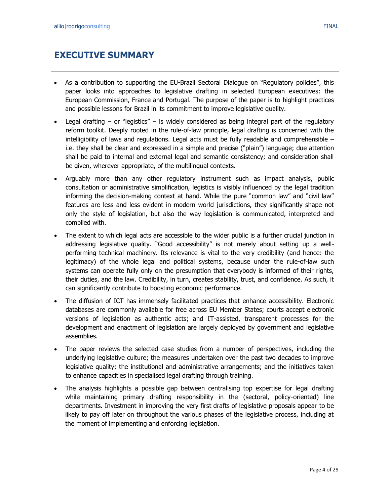# <span id="page-3-0"></span>**EXECUTIVE SUMMARY**

- As a contribution to supporting the EU-Brazil Sectoral Dialogue on "Regulatory policies", this paper looks into approaches to legislative drafting in selected European executives: the European Commission, France and Portugal. The purpose of the paper is to highlight practices and possible lessons for Brazil in its commitment to improve legislative quality.
- Legal drafting  $-$  or "legistics"  $-$  is widely considered as being integral part of the regulatory reform toolkit. Deeply rooted in the rule-of-law principle, legal drafting is concerned with the intelligibility of laws and regulations. Legal acts must be fully readable and comprehensible – i.e. they shall be clear and expressed in a simple and precise ("plain") language; due attention shall be paid to internal and external legal and semantic consistency; and consideration shall be given, wherever appropriate, of the multilingual contexts.
- Arguably more than any other regulatory instrument such as impact analysis, public consultation or administrative simplification, legistics is visibly influenced by the legal tradition informing the decision-making context at hand. While the pure "common law" and "civil law" features are less and less evident in modern world jurisdictions, they significantly shape not only the style of legislation, but also the way legislation is communicated, interpreted and complied with.
- The extent to which legal acts are accessible to the wider public is a further crucial junction in addressing legislative quality. "Good accessibility" is not merely about setting up a wellperforming technical machinery. Its relevance is vital to the very credibility (and hence: the legitimacy) of the whole legal and political systems, because under the rule-of-law such systems can operate fully only on the presumption that everybody is informed of their rights, their duties, and the law. Credibility, in turn, creates stability, trust, and confidence. As such, it can significantly contribute to boosting economic performance.
- The diffusion of ICT has immensely facilitated practices that enhance accessibility. Electronic databases are commonly available for free across EU Member States; courts accept electronic versions of legislation as authentic acts; and IT-assisted, transparent processes for the development and enactment of legislation are largely deployed by government and legislative assemblies.
- The paper reviews the selected case studies from a number of perspectives, including the underlying legislative culture; the measures undertaken over the past two decades to improve legislative quality; the institutional and administrative arrangements; and the initiatives taken to enhance capacities in specialised legal drafting through training.
- The analysis highlights a possible gap between centralising top expertise for legal drafting while maintaining primary drafting responsibility in the (sectoral, policy-oriented) line departments. Investment in improving the very first drafts of legislative proposals appear to be likely to pay off later on throughout the various phases of the legislative process, including at the moment of implementing and enforcing legislation.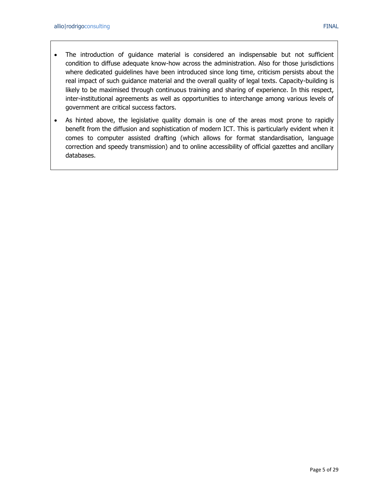- The introduction of guidance material is considered an indispensable but not sufficient condition to diffuse adequate know-how across the administration. Also for those jurisdictions where dedicated guidelines have been introduced since long time, criticism persists about the real impact of such guidance material and the overall quality of legal texts. Capacity-building is likely to be maximised through continuous training and sharing of experience. In this respect, inter-institutional agreements as well as opportunities to interchange among various levels of government are critical success factors.
- As hinted above, the legislative quality domain is one of the areas most prone to rapidly benefit from the diffusion and sophistication of modern ICT. This is particularly evident when it comes to computer assisted drafting (which allows for format standardisation, language correction and speedy transmission) and to online accessibility of official gazettes and ancillary databases.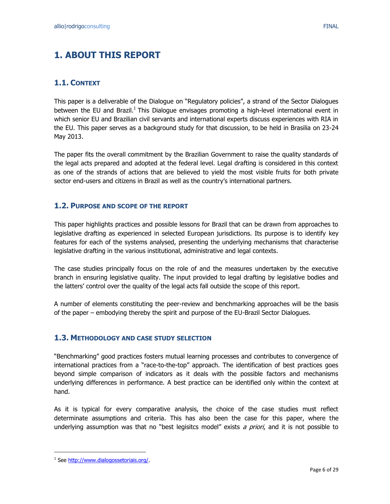# <span id="page-5-0"></span>**1. ABOUT THIS REPORT**

# <span id="page-5-1"></span>**1.1. CONTEXT**

This paper is a deliverable of the Dialogue on "Regulatory policies", a strand of the Sector Dialogues between the EU and Brazil.<sup>1</sup> This Dialogue envisages promoting a high-level international event in which senior EU and Brazilian civil servants and international experts discuss experiences with RIA in the EU. This paper serves as a background study for that discussion, to be held in Brasilia on 23-24 May 2013.

The paper fits the overall commitment by the Brazilian Government to raise the quality standards of the legal acts prepared and adopted at the federal level. Legal drafting is considered in this context as one of the strands of actions that are believed to yield the most visible fruits for both private sector end-users and citizens in Brazil as well as the country's international partners.

### <span id="page-5-2"></span>**1.2. PURPOSE AND SCOPE OF THE REPORT**

This paper highlights practices and possible lessons for Brazil that can be drawn from approaches to legislative drafting as experienced in selected European jurisdictions. Its purpose is to identify key features for each of the systems analysed, presenting the underlying mechanisms that characterise legislative drafting in the various institutional, administrative and legal contexts.

The case studies principally focus on the role of and the measures undertaken by the executive branch in ensuring legislative quality. The input provided to legal drafting by legislative bodies and the latters' control over the quality of the legal acts fall outside the scope of this report.

A number of elements constituting the peer-review and benchmarking approaches will be the basis of the paper – embodying thereby the spirit and purpose of the EU-Brazil Sector Dialogues.

### <span id="page-5-3"></span>**1.3. METHODOLOGY AND CASE STUDY SELECTION**

"Benchmarking" good practices fosters mutual learning processes and contributes to convergence of international practices from a "race-to-the-top" approach. The identification of best practices goes beyond simple comparison of indicators as it deals with the possible factors and mechanisms underlying differences in performance. A best practice can be identified only within the context at hand.

As it is typical for every comparative analysis, the choice of the case studies must reflect determinate assumptions and criteria. This has also been the case for this paper, where the underlying assumption was that no "best legisitcs model" exists a priori, and it is not possible to

<sup>&</sup>lt;sup>1</sup> See [http://www.dialogossetoriais.org/.](http://www.dialogossetoriais.org/)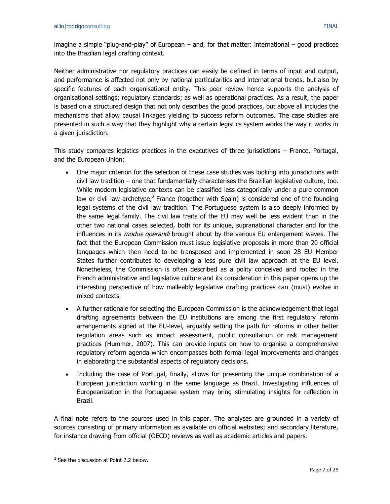imagine a simple "plug-and-play" of European – and, for that matter: international – good practices into the Brazilian legal drafting context.

Neither administrative nor regulatory practices can easily be defined in terms of input and output, and performance is affected not only by national particularities and international trends, but also by specific features of each organisational entity. This peer review hence supports the analysis of organisational settings; regulatory standards; as well as operational practices. As a result, the paper is based on a structured design that not only describes the good practices, but above all includes the mechanisms that allow causal linkages yielding to success reform outcomes. The case studies are presented in such a way that they highlight why a certain legistics system works the way it works in a given jurisdiction.

This study compares legistics practices in the executives of three jurisdictions – France, Portugal, and the European Union:

- One major criterion for the selection of these case studies was looking into jurisdictions with civil law tradition – one that fundamentally characterises the Brazilian legislative culture, too. While modern legislative contexts can be classified less categorically under a pure common law or civil law archetype,<sup>2</sup> France (together with Spain) is considered one of the founding legal systems of the civil law tradition. The Portuguese system is also deeply informed by the same legal family. The civil law traits of the EU may well be less evident than in the other two national cases selected, both for its unique, supranational character and for the influences in its *modus operandi* brought about by the various EU enlargement waves. The fact that the European Commission must issue legislative proposals in more than 20 official languages which then need to be transposed and implemented in soon 28 EU Member States further contributes to developing a less pure civil law approach at the EU level. Nonetheless, the Commission is often described as a polity conceived and rooted in the French administrative and legislative culture and its consideration in this paper opens up the interesting perspective of how malleably legislative drafting practices can (must) evolve in mixed contexts.
- A further rationale for selecting the European Commission is the acknowledgement that legal drafting agreements between the EU institutions are among the first regulatory reform arrangements signed at the EU-level, arguably setting the path for reforms in other better regulation areas such as impact assessment, public consultation or risk management practices (Hummer, 2007). This can provide inputs on how to organise a comprehensive regulatory reform agenda which encompasses both formal legal improvements and changes in elaborating the substantial aspects of regulatory decisions.
- Including the case of Portugal, finally, allows for presenting the unique combination of a European jurisdiction working in the same language as Brazil. Investigating influences of Europeanization in the Portuguese system may bring stimulating insights for reflection in Brazil.

A final note refers to the sources used in this paper. The analyses are grounded in a variety of sources consisting of primary information as available on official websites; and secondary literature, for instance drawing from official (OECD) reviews as well as academic articles and papers.

<sup>&</sup>lt;sup>2</sup> See the discussion at Point 2.2 below.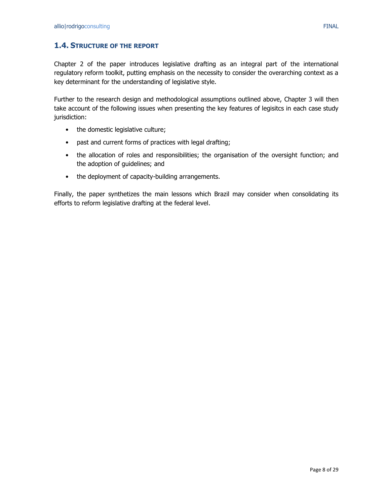<span id="page-7-0"></span>Chapter 2 of the paper introduces legislative drafting as an integral part of the international regulatory reform toolkit, putting emphasis on the necessity to consider the overarching context as a key determinant for the understanding of legislative style.

Further to the research design and methodological assumptions outlined above, Chapter 3 will then take account of the following issues when presenting the key features of legisitcs in each case study jurisdiction:

- the domestic legislative culture;
- past and current forms of practices with legal drafting;
- the allocation of roles and responsibilities; the organisation of the oversight function; and the adoption of guidelines; and
- the deployment of capacity-building arrangements.

Finally, the paper synthetizes the main lessons which Brazil may consider when consolidating its efforts to reform legislative drafting at the federal level.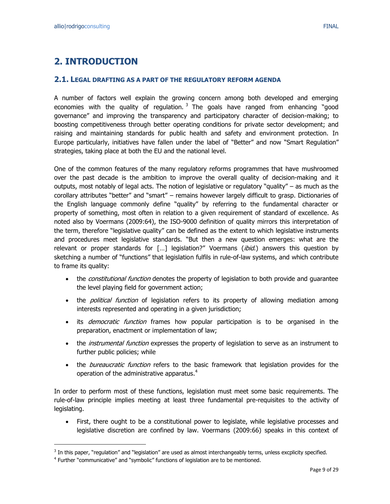# <span id="page-8-0"></span>**2. INTRODUCTION**

#### <span id="page-8-1"></span>**2.1. LEGAL DRAFTING AS A PART OF THE REGULATORY REFORM AGENDA**

A number of factors well explain the growing concern among both developed and emerging economies with the quality of regulation.  $3$  The goals have ranged from enhancing "good governance" and improving the transparency and participatory character of decision-making; to boosting competitiveness through better operating conditions for private sector development; and raising and maintaining standards for public health and safety and environment protection. In Europe particularly, initiatives have fallen under the label of "Better" and now "Smart Regulation" strategies, taking place at both the EU and the national level.

One of the common features of the many regulatory reforms programmes that have mushroomed over the past decade is the ambition to improve the overall quality of decision-making and it outputs, most notably of legal acts. The notion of legislative or regulatory "quality" – as much as the corollary attributes "better" and "smart" – remains however largely difficult to grasp. Dictionaries of the English language commonly define "quality" by referring to the fundamental character or property of something, most often in relation to a given requirement of standard of excellence. As noted also by Voermans (2009:64), the ISO-9000 definition of quality mirrors this interpretation of the term, therefore "legislative quality" can be defined as the extent to which legislative instruments and procedures meet legislative standards. "But then a new question emerges: what are the relevant or proper standards for [...] legislation?" Voermans (ibid.) answers this question by sketching a number of "functions" that legislation fulfils in rule-of-law systems, and which contribute to frame its quality:

- the *constitutional function* denotes the property of legislation to both provide and guarantee the level playing field for government action;
- the *political function* of legislation refers to its property of allowing mediation among interests represented and operating in a given jurisdiction;
- its *democratic function* frames how popular participation is to be organised in the preparation, enactment or implementation of law;
- the *instrumental function* expresses the property of legislation to serve as an instrument to further public policies; while
- the *bureaucratic function* refers to the basic framework that legislation provides for the operation of the administrative apparatus.<sup>4</sup>

In order to perform most of these functions, legislation must meet some basic requirements. The rule-of-law principle implies meeting at least three fundamental pre-requisites to the activity of legislating.

 First, there ought to be a constitutional power to legislate, while legislative processes and legislative discretion are confined by law. Voermans (2009:66) speaks in this context of

 $3$  In this paper, "regulation" and "legislation" are used as almost interchangeably terms, unless excplicity specified.

<sup>&</sup>lt;sup>4</sup> Further "communicative" and "symbolic" functions of legislation are to be mentioned.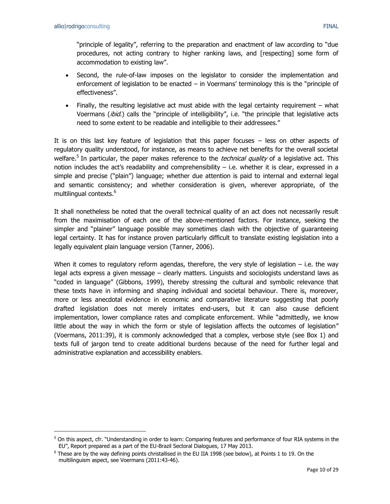$\overline{a}$ 

"principle of legality", referring to the preparation and enactment of law according to "due procedures, not acting contrary to higher ranking laws, and [respecting] some form of accommodation to existing law".

- Second, the rule-of-law imposes on the legislator to consider the implementation and enforcement of legislation to be enacted – in Voermans' terminology this is the "principle of effectiveness".
- Finally, the resulting legislative act must abide with the legal certainty requirement what Voermans (*ibid.*) calls the "principle of intelligibility", i.e. "the principle that legislative acts need to some extent to be readable and intelligible to their addressees."

It is on this last key feature of legislation that this paper focuses – less on other aspects of regulatory quality understood, for instance, as means to achieve net benefits for the overall societal welfare.<sup>5</sup> In particular, the paper makes reference to the *technical quality* of a legislative act. This notion includes the act's readability and comprehensibility – i.e. whether it is clear, expressed in a simple and precise ("plain") language; whether due attention is paid to internal and external legal and semantic consistency; and whether consideration is given, wherever appropriate, of the multilingual contexts.<sup>6</sup>

It shall nonetheless be noted that the overall technical quality of an act does not necessarily result from the maximisation of each one of the above-mentioned factors. For instance, seeking the simpler and "plainer" language possible may sometimes clash with the objective of guaranteeing legal certainty. It has for instance proven particularly difficult to translate existing legislation into a legally equivalent plain language version (Tanner, 2006).

When it comes to regulatory reform agendas, therefore, the very style of legislation  $-$  i.e. the way legal acts express a given message – clearly matters. Linguists and sociologists understand laws as "coded in language" (Gibbons, 1999), thereby stressing the cultural and symbolic relevance that these texts have in informing and shaping individual and societal behaviour. There is, moreover, more or less anecdotal evidence in economic and comparative literature suggesting that poorly drafted legislation does not merely irritates end-users, but it can also cause deficient implementation, lower compliance rates and complicate enforcement. While "admittedly, we know little about the way in which the form or style of legislation affects the outcomes of legislation" (Voermans, 2011:39), it is commonly acknowledged that a complex, verbose style (see Box 1) and texts full of jargon tend to create additional burdens because of the need for further legal and administrative explanation and accessibility enablers.

 $5$  On this aspect, cfr. "Understanding in order to learn: Comparing features and performance of four RIA systems in the EU", Report prepared as a part of the EU-Brazil Sectoral Dialogues, 17 May 2013.

<sup>&</sup>lt;sup>6</sup> These are by the way defining points christallised in the EU IIA 1998 (see below), at Points 1 to 19. On the multilinguism aspect, see Voermans (2011:43-46).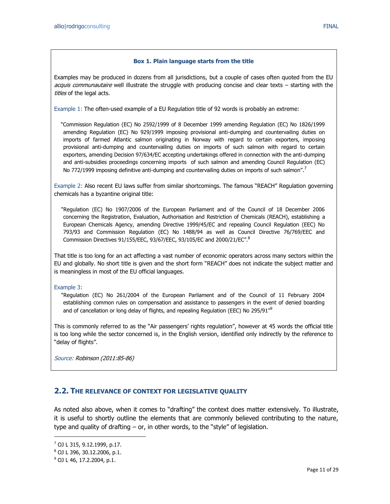#### **Box 1. Plain language starts from the title**

Examples may be produced in dozens from all jurisdictions, but a couple of cases often quoted from the EU acquis communautaire well illustrate the struggle with producing concise and clear texts – starting with the titles of the legal acts.

Example 1: The often-used example of a EU Regulation title of 92 words is probably an extreme:

 "Commission Regulation (EC) No 2592/1999 of 8 December 1999 amending Regulation (EC) No 1826/1999 amending Regulation (EC) No 929/1999 imposing provisional anti-dumping and countervailing duties on imports of farmed Atlantic salmon originating in Norway with regard to certain exporters, imposing provisional anti-dumping and countervailing duties on imports of such salmon with regard to certain exporters, amending Decision 97/634/EC accepting undertakings offered in connection with the anti-dumping and anti-subsidies proceedings concerning imports of such salmon and amending Council Regulation (EC) No 772/1999 imposing definitive anti-dumping and countervailing duties on imports of such salmon".<sup>7</sup>

Example 2: Also recent EU laws suffer from similar shortcomings. The famous "REACH" Regulation governing chemicals has a byzantine original title:

 "Regulation (EC) No 1907/2006 of the European Parliament and of the Council of 18 December 2006 concerning the Registration, Evaluation, Authorisation and Restriction of Chemicals (REACH), establishing a European Chemicals Agency, amending Directive 1999/45/EC and repealing Council Regulation (EEC) No 793/93 and Commission Regulation (EC) No 1488/94 as well as Council Directive 76/769/EEC and Commission Directives 91/155/EEC, 93/67/EEC, 93/105/EC and 2000/21/EC".<sup>8</sup>

That title is too long for an act affecting a vast number of economic operators across many sectors within the EU and globally. No short title is given and the short form "REACH" does not indicate the subject matter and is meaningless in most of the EU official languages.

Example 3:

 "Regulation (EC) No 261/2004 of the European Parliament and of the Council of 11 February 2004 establishing common rules on compensation and assistance to passengers in the event of denied boarding and of cancellation or long delay of flights, and repealing Regulation (EEC) No 295/91 $^{\prime\prime9}$ 

This is commonly referred to as the "Air passengers' rights regulation", however at 45 words the official title is too long while the sector concerned is, in the English version, identified only indirectly by the reference to "delay of flights".

Source: Robinson (2011:85-86)

#### <span id="page-10-0"></span>**2.2. THE RELEVANCE OF CONTEXT FOR LEGISLATIVE QUALITY**

As noted also above, when it comes to "drafting" the context does matter extensively. To illustrate, it is useful to shortly outline the elements that are commonly believed contributing to the nature, type and quality of drafting – or, in other words, to the "style" of legislation.

<sup>7</sup> OJ L 315, 9.12.1999, p.17.

<sup>8</sup> OJ L 396, 30.12.2006, p.1.

 $9^9$  OJ L 46, 17.2.2004, p.1.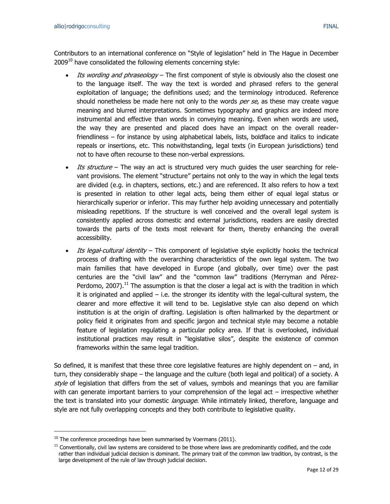Contributors to an international conference on "Style of legislation" held in The Hague in December  $2009<sup>10</sup>$  have consolidated the following elements concerning style:

- Its wording and phraseology The first component of style is obviously also the closest one to the language itself. The way the text is worded and phrased refers to the general exploitation of language; the definitions used; and the terminology introduced. Reference should nonetheless be made here not only to the words per se, as these may create vague meaning and blurred interpretations. Sometimes typography and graphics are indeed more instrumental and effective than words in conveying meaning. Even when words are used, the way they are presented and placed does have an impact on the overall readerfriendliness – for instance by using alphabetical labels, lists, boldface and italics to indicate repeals or insertions, etc. This notwithstanding, legal texts (in European jurisdictions) tend not to have often recourse to these non-verbal expressions.
- Its structure The way an act is structured very much quides the user searching for relevant provisions. The element "structure" pertains not only to the way in which the legal texts are divided (e.g. in chapters, sections, etc.) and are referenced. It also refers to how a text is presented in relation to other legal acts, being them either of equal legal status or hierarchically superior or inferior. This may further help avoiding unnecessary and potentially misleading repetitions. If the structure is well conceived and the overall legal system is consistently applied across domestic and external jurisdictions, readers are easily directed towards the parts of the texts most relevant for them, thereby enhancing the overall accessibility.
- Its legal-cultural identity This component of legislative style explicitly hooks the technical process of drafting with the overarching characteristics of the own legal system. The two main families that have developed in Europe (and globally, over time) over the past centuries are the "civil law" and the "common law" traditions (Merryman and Pérez-Perdomo, 2007).<sup>11</sup> The assumption is that the closer a legal act is with the tradition in which it is originated and applied – i.e. the stronger its identity with the legal-cultural system, the clearer and more effective it will tend to be. Legislative style can also depend on which institution is at the origin of drafting. Legislation is often hallmarked by the department or policy field it originates from and specific jargon and technical style may become a notable feature of legislation regulating a particular policy area. If that is overlooked, individual institutional practices may result in "legislative silos", despite the existence of common frameworks within the same legal tradition.

So defined, it is manifest that these three core legislative features are highly dependent on  $-$  and, in turn, they considerably shape – the language and the culture (both legal and political) of a society. A style of legislation that differs from the set of values, symbols and meanings that you are familiar with can generate important barriers to your comprehension of the legal act – irrespective whether the text is translated into your domestic *language*. While intimately linked, therefore, language and style are not fully overlapping concepts and they both contribute to legislative quality.

 $10$  The conference proceedings have been summarised by Voermans (2011).

 $11$  Conventionally, civil law systems are considered to be those where laws are predominantly codified, and the code rather than individual judicial decision is dominant. The primary trait of the common law tradition, by contrast, is the large development of the rule of law through judicial decision.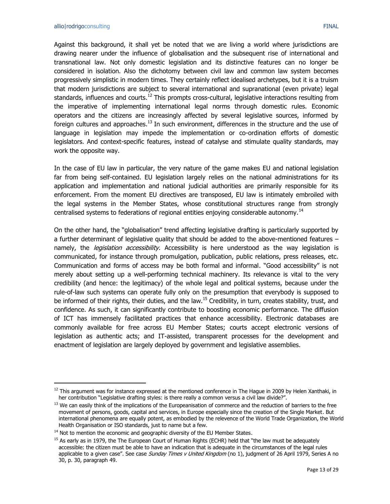$\overline{a}$ 

Against this background, it shall yet be noted that we are living a world where jurisdictions are drawing nearer under the influence of globalisation and the subsequent rise of international and transnational law. Not only domestic legislation and its distinctive features can no longer be considered in isolation. Also the dichotomy between civil law and common law system becomes progressively simplistic in modern times. They certainly reflect idealised archetypes, but it is a truism that modern jurisdictions are subject to several international and supranational (even private) legal standards, influences and courts.<sup>12</sup> This prompts cross-cultural, legislative interactions resulting from the imperative of implementing international legal norms through domestic rules. Economic operators and the citizens are increasingly affected by several legislative sources, informed by foreign cultures and approaches.<sup>13</sup> In such environment, differences in the structure and the use of language in legislation may impede the implementation or co-ordination efforts of domestic legislators. And context-specific features, instead of catalyse and stimulate quality standards, may work the opposite way.

In the case of EU law in particular, the very nature of the game makes EU and national legislation far from being self-contained. EU legislation largely relies on the national administrations for its application and implementation and national judicial authorities are primarily responsible for its enforcement. From the moment EU directives are transposed, EU law is intimately embroiled with the legal systems in the Member States, whose constitutional structures range from strongly centralised systems to federations of regional entities enjoying considerable autonomy.<sup>14</sup>

On the other hand, the "globalisation" trend affecting legislative drafting is particularly supported by a further determinant of legislative quality that should be added to the above-mentioned features – namely, the *legislation accessibility*. Accessibility is here understood as the way legislation is communicated, for instance through promulgation, publication, public relations, press releases, etc. Communication and forms of access may be both formal and informal. "Good accessibility" is not merely about setting up a well-performing technical machinery. Its relevance is vital to the very credibility (and hence: the legitimacy) of the whole legal and political systems, because under the rule-of-law such systems can operate fully only on the presumption that everybody is supposed to be informed of their rights, their duties, and the law.<sup>15</sup> Credibility, in turn, creates stability, trust, and confidence. As such, it can significantly contribute to boosting economic performance. The diffusion of ICT has immensely facilitated practices that enhance accessibility. Electronic databases are commonly available for free across EU Member States; courts accept electronic versions of legislation as authentic acts; and IT-assisted, transparent processes for the development and enactment of legislation are largely deployed by government and legislative assemblies.

 $12$  This argument was for instance expressed at the mentioned conference in The Hague in 2009 by Helen Xanthaki, in her contribution "Legislative drafting styles: is there really a common versus a civil law divide?".

<sup>&</sup>lt;sup>13</sup> We can easily think of the implications of the Europeanisation of commerce and the reduction of barriers to the free movement of persons, goods, capital and services, in Europe especially since the creation of the Single Market. But international phenomena are equally potent, as embodied by the relevence of the World Trade Organization, the World Health Organisation or ISO standards, just to name but a few.

 $14$  Not to mention the economic and geographic diversity of the EU Member States.

 $15$  As early as in 1979, the The European Court of Human Rights (ECHR) held that "the law must be adequately accessible: the citizen must be able to have an indication that is adequate in the circumstances of the legal rules applicable to a given case". See case Sunday Times v United Kingdom (no 1), judgment of 26 April 1979, Series A no 30, p. 30, paragraph 49.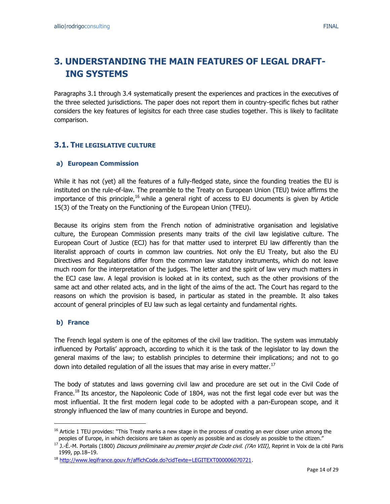# <span id="page-13-0"></span>**3. UNDERSTANDING THE MAIN FEATURES OF LEGAL DRAFT-ING SYSTEMS**

Paragraphs 3.1 through 3.4 systematically present the experiences and practices in the executives of the three selected jurisdictions. The paper does not report them in country-specific fiches but rather considers the key features of legisitcs for each three case studies together. This is likely to facilitate comparison.

## <span id="page-13-1"></span>**3.1. THE LEGISLATIVE CULTURE**

#### **a) European Commission**

While it has not (yet) all the features of a fully-fledged state, since the founding treaties the EU is instituted on the rule-of-law. The preamble to the Treaty on European Union (TEU) twice affirms the importance of this principle,<sup>16</sup> while a general right of access to EU documents is given by Article 15(3) of the Treaty on the Functioning of the European Union (TFEU).

Because its origins stem from the French notion of administrative organisation and legislative culture, the European Commission presents many traits of the civil law legislative culture. The European Court of Justice (ECJ) has for that matter used to interpret EU law differently than the literalist approach of courts in common law countries. Not only the EU Treaty, but also the EU Directives and Regulations differ from the common law statutory instruments, which do not leave much room for the interpretation of the judges. The letter and the spirit of law very much matters in the ECJ case law. A legal provision is looked at in its context, such as the other provisions of the same act and other related acts, and in the light of the aims of the act. The Court has regard to the reasons on which the provision is based, in particular as stated in the preamble. It also takes account of general principles of EU law such as legal certainty and fundamental rights.

#### **b) France**

 $\overline{a}$ 

The French legal system is one of the epitomes of the civil law tradition. The system was immutably influenced by Portalis' approach, according to which it is the task of the legislator to lay down the general maxims of the law; to establish principles to determine their implications; and not to go down into detailed regulation of all the issues that may arise in every matter.<sup>17</sup>

The body of statutes and laws governing civil law and procedure are set out in the Civil Code of France.<sup>18</sup> Its ancestor, the Napoleonic Code of 1804, was not the first legal code ever but was the most influential. It the first modern legal code to be adopted with a pan-European scope, and it strongly influenced the law of many countries in Europe and beyond.

<sup>&</sup>lt;sup>16</sup> Article 1 TEU provides: "This Treaty marks a new stage in the process of creating an ever closer union among the peoples of Europe, in which decisions are taken as openly as possible and as closely as possible to the citizen."

<sup>&</sup>lt;sup>17</sup> J.-É.-M. Portalis (1800) *Discours préliminaire au premier projet de Code civil. (l'An VIII)*, Reprint in Voix de la cité Paris 1999, pp.18–19.

<sup>18</sup> [http://www.legifrance.gouv.fr/affichCode.do?cidTexte=LEGITEXT000006070721.](http://www.legifrance.gouv.fr/affichCode.do?cidTexte=LEGITEXT000006070721)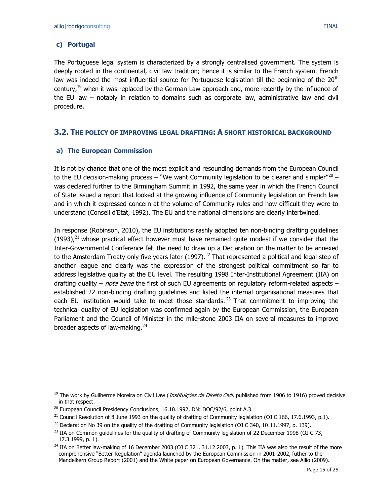### **c) Portugal**

 $\overline{a}$ 

The Portuguese legal system is characterized by a strongly centralised government. The system is deeply rooted in the continental, civil law tradition; hence it is similar to the French system. French law was indeed the most influential source for Portuguese legislation till the beginning of the  $20<sup>th</sup>$ century,<sup>19</sup> when it was replaced by the German Law approach and, more recently by the influence of the EU law – notably in relation to domains such as corporate law, administrative law and civil procedure.

### <span id="page-14-0"></span>**3.2. THE POLICY OF IMPROVING LEGAL DRAFTING: A SHORT HISTORICAL BACKGROUND**

#### **a) The European Commission**

It is not by chance that one of the most explicit and resounding demands from the European Council to the EU decision-making process – "We want Community legislation to be clearer and simpler"<sup>20</sup> – was declared further to the Birmingham Summit in 1992, the same year in which the French Council of State issued a report that looked at the growing influence of Community legislation on French law and in which it expressed concern at the volume of Community rules and how difficult they were to understand (Conseil d'Etat, 1992). The EU and the national dimensions are clearly intertwined.

In response (Robinson, 2010), the EU institutions rashly adopted ten non-binding drafting guidelines  $(1993)$ ,<sup>21</sup> whose practical effect however must have remained quite modest if we consider that the Inter-Governmental Conference felt the need to draw up a Declaration on the matter to be annexed to the Amsterdam Treaty only five years later (1997).<sup>22</sup> That represented a political and legal step of another league and clearly was the expression of the strongest political commitment so far to address legislative quality at the EU level. The resulting 1998 Inter-Institutional Agreement (IIA) on drafting quality – *nota bene* the first of such EU agreements on regulatory reform-related aspects – established 22 non-binding drafting guidelines and listed the internal organisational measures that each EU institution would take to meet those standards.<sup>23</sup> That commitment to improving the technical quality of EU legislation was confirmed again by the European Commission, the European Parliament and the Council of Minister in the mile-stone 2003 IIA on several measures to improve broader aspects of law-making. $24$ 

<sup>&</sup>lt;sup>19</sup> The work by Guilherme Moreira on Civil Law (*Instituições de Direito Civil*, published from 1906 to 1916) proved decisive in that respect.

<sup>&</sup>lt;sup>20</sup> European Council Presidency Conclusions, 16.10.1992, DN: DOC/92/6, point A.3.

 $^{21}$  Council Resolution of 8 June 1993 on the quality of drafting of Community legislation (OJ C 166, 17.6.1993, p.1).

<sup>&</sup>lt;sup>22</sup> Declaration No 39 on the quality of the drafting of Community legislation (OJ C 340, 10.11.1997, p. 139).

<sup>&</sup>lt;sup>23</sup> IIA on Common guidelines for the quality of drafting of Community legislation of 22 December 1998 (OJ C 73, 17.3.1999, p. 1).

 $^{24}$  IIA on Better law-making of 16 December 2003 (OJ C 321, 31.12.2003, p. 1). This IIA was also the result of the more comprehensive "Better Regulation" agenda launched by the European Commission in 2001-2002, futher to the Mandelkern Group Report (2001) and the White paper on European Governance. On the matter, see Allio (2009).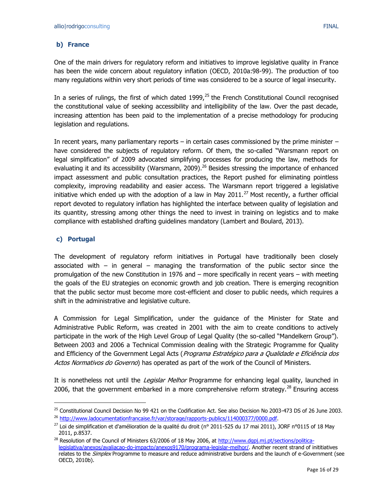### **b) France**

One of the main drivers for regulatory reform and initiatives to improve legislative quality in France has been the wide concern about regulatory inflation (OECD, 2010a:98-99). The production of too many regulations within very short periods of time was considered to be a source of legal insecurity.

In a series of rulings, the first of which dated 1999, $25$  the French Constitutional Council recognised the constitutional value of seeking accessibility and intelligibility of the law. Over the past decade, increasing attention has been paid to the implementation of a precise methodology for producing legislation and regulations.

In recent years, many parliamentary reports – in certain cases commissioned by the prime minister – have considered the subjects of regulatory reform. Of them, the so-called "Warsmann report on legal simplification" of 2009 advocated simplifying processes for producing the law, methods for evaluating it and its accessibility (Warsmann, 2009).<sup>26</sup> Besides stressing the importance of enhanced impact assessment and public consultation practices, the Report pushed for eliminating pointless complexity, improving readability and easier access. The Warsmann report triggered a legislative initiative which ended up with the adoption of a law in May  $2011.<sup>27</sup>$  Most recently, a further official report devoted to regulatory inflation has highlighted the interface between quality of legislation and its quantity, stressing among other things the need to invest in training on legistics and to make compliance with established drafting guidelines mandatory (Lambert and Boulard, 2013).

#### **c) Portugal**

 $\overline{a}$ 

The development of regulatory reform initiatives in Portugal have traditionally been closely associated with  $-$  in general  $-$  managing the transformation of the public sector since the promulgation of the new Constitution in 1976 and – more specifically in recent years – with meeting the goals of the EU strategies on economic growth and job creation. There is emerging recognition that the public sector must become more cost-efficient and closer to public needs, which requires a shift in the administrative and legislative culture.

A Commission for Legal Simplification, under the guidance of the Minister for State and Administrative Public Reform, was created in 2001 with the aim to create conditions to actively participate in the work of the High Level Group of Legal Quality (the so-called "Mandelkern Group"). Between 2003 and 2006 a Technical Commission dealing with the Strategic Programme for Quality and Efficiency of the Government Legal Acts (Programa Estratégico para a Qualidade e Eficiência dos Actos Normativos do Governo) has operated as part of the work of the Council of Ministers.

It is nonetheless not until the *Legislar Melhor* Programme for enhancing legal quality, launched in 2006, that the government embarked in a more comprehensive reform strategy.<sup>28</sup> Ensuring access

<sup>&</sup>lt;sup>25</sup> Constitutional Council Decision No 99 421 on the Codification Act. See also Decision No 2003-473 DS of 26 June 2003. <sup>26</sup> [http://www.ladocumentationfrancaise.fr/var/storage/rapports-publics/114000377/0000.pdf.](http://www.ladocumentationfrancaise.fr/var/storage/rapports-publics/114000377/0000.pdf)

<sup>&</sup>lt;sup>27</sup> Loi de simplification et d'amélioration de la qualité du droit (n° 2011-525 du 17 mai 2011), JORF n°0115 of 18 May 2011, p.8537.

<sup>&</sup>lt;sup>28</sup> Resolution of the Council of Ministers 63/2006 of 18 May 2006, at [http://www.dgpj.mj.pt/sections/politica](http://www.dgpj.mj.pt/sections/politica-legislativa/anexos/avaliacao-do-impacto/anexos9170/programa-legislar-melhor/)[legislativa/anexos/avaliacao-do-impacto/anexos9170/programa-legislar-melhor/.](http://www.dgpj.mj.pt/sections/politica-legislativa/anexos/avaliacao-do-impacto/anexos9170/programa-legislar-melhor/) Another recent strand of inititiatives relates to the *Simplex* Programme to measure and reduce administrative burdens and the launch of e-Government (see OECD, 2010b).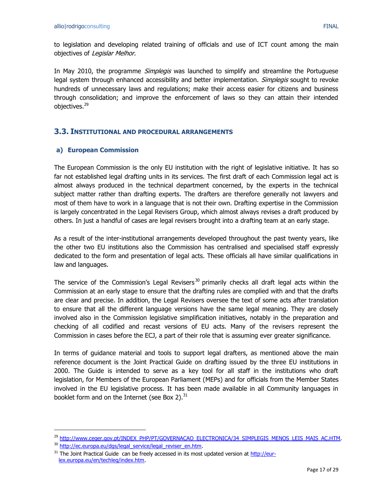to legislation and developing related training of officials and use of ICT count among the main objectives of Legislar Melhor.

In May 2010, the programme *Simplegis* was launched to simplify and streamline the Portuguese legal system through enhanced accessibility and better implementation. *Simplegis* sought to revoke hundreds of unnecessary laws and regulations; make their access easier for citizens and business through consolidation; and improve the enforcement of laws so they can attain their intended objectives.<sup>29</sup>

### <span id="page-16-0"></span>**3.3. INSTITUTIONAL AND PROCEDURAL ARRANGEMENTS**

#### **a) European Commission**

The European Commission is the only EU institution with the right of legislative initiative. It has so far not established legal drafting units in its services. The first draft of each Commission legal act is almost always produced in the technical department concerned, by the experts in the technical subject matter rather than drafting experts. The drafters are therefore generally not lawyers and most of them have to work in a language that is not their own. Drafting expertise in the Commission is largely concentrated in the Legal Revisers Group, which almost always revises a draft produced by others. In just a handful of cases are legal revisers brought into a drafting team at an early stage.

As a result of the inter-institutional arrangements developed throughout the past twenty years, like the other two EU institutions also the Commission has centralised and specialised staff expressly dedicated to the form and presentation of legal acts. These officials all have similar qualifications in law and languages.

The service of the Commission's Legal Revisers<sup>30</sup> primarily checks all draft legal acts within the Commission at an early stage to ensure that the drafting rules are complied with and that the drafts are clear and precise. In addition, the Legal Revisers oversee the text of some acts after translation to ensure that all the different language versions have the same legal meaning. They are closely involved also in the Commission legislative simplification initiatives, notably in the preparation and checking of all codified and recast versions of EU acts. Many of the revisers represent the Commission in cases before the ECJ, a part of their role that is assuming ever greater significance.

In terms of guidance material and tools to support legal drafters, as mentioned above the main reference document is the Joint Practical Guide on drafting issued by the three EU institutions in 2000. The Guide is intended to serve as a key tool for all staff in the institutions who draft legislation, for Members of the European Parliament (MEPs) and for officials from the Member States involved in the EU legislative process. It has been made available in all Community languages in booklet form and on the Internet (see Box 2). $^{31}$ 

<sup>&</sup>lt;sup>29</sup> [http://www.ceger.gov.pt/INDEX\\_PHP/PT/GOVERNACAO\\_ELECTRONICA/34\\_SIMPLEGIS\\_MENOS\\_LEIS\\_MAIS\\_AC.HTM.](http://www.ceger.gov.pt/INDEX_PHP/PT/GOVERNACAO_ELECTRONICA/34_SIMPLEGIS_MENOS_LEIS_MAIS_AC.HTM)

<sup>&</sup>lt;sup>30</sup> [http://ec.europa.eu/dgs/legal\\_service/legal\\_reviser\\_en.htm.](http://ec.europa.eu/dgs/legal_service/legal_reviser_en.htm)

<sup>&</sup>lt;sup>31</sup> The Joint Practical Guide can be freely accessed in its most updated version at [http://eur](http://eur-lex.europa.eu/en/techleg/index.htm)[lex.europa.eu/en/techleg/index.htm.](http://eur-lex.europa.eu/en/techleg/index.htm)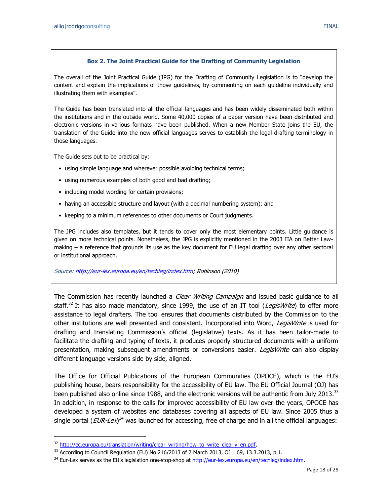The overall of the Joint Practical Guide (JPG) for the Drafting of Community Legislation is to "develop the content and explain the implications of those guidelines, by commenting on each guideline individually and illustrating them with examples".

The Guide has been translated into all the official languages and has been widely disseminated both within the institutions and in the outside world. Some 40,000 copies of a paper version have been distributed and electronic versions in various formats have been published. When a new Member State joins the EU, the translation of the Guide into the new official languages serves to establish the legal drafting terminology in those languages.

The Guide sets out to be practical by:

 $\overline{a}$ 

- using simple language and wherever possible avoiding technical terms;
- using numerous examples of both good and bad drafting;
- including model wording for certain provisions;
- having an accessible structure and layout (with a decimal numbering system); and
- keeping to a minimum references to other documents or Court judgments.

The JPG includes also templates, but it tends to cover only the most elementary points. Little guidance is given on more technical points. Nonetheless, the JPG is explicitly mentioned in the 2003 IIA on Better Lawmaking – a reference that grounds its use as the key document for EU legal drafting over any other sectoral or institutional approach.

Source: [http://eur-lex.europa.eu/en/techleg/index.htm;](http://eur-lex.europa.eu/en/techleg/index.htm) Robinson (2010)

The Commission has recently launched a *Clear Writing Campaign* and issued basic guidance to all staff.<sup>32</sup> It has also made mandatory, since 1999, the use of an IT tool (LegisWrite) to offer more assistance to legal drafters. The tool ensures that documents distributed by the Commission to the other institutions are well presented and consistent. Incorporated into Word, LegisWrite is used for drafting and translating Commission's official (legislative) texts. As it has been tailor-made to facilitate the drafting and typing of texts, it produces properly structured documents with a uniform presentation, making subsequent amendments or conversions easier. *LegisWrite* can also display different language versions side by side, aligned.

The Office for Official Publications of the European Communities (OPOCE), which is the EU's publishing house, bears responsibility for the accessibility of EU law. The EU Official Journal (OJ) has been published also online since 1988, and the electronic versions will be authentic from July 2013.<sup>33</sup> In addition, in response to the calls for improved accessibility of EU law over the years, OPOCE has developed a system of websites and databases covering all aspects of EU law. Since 2005 thus a single portal (*EUR-Lex*)<sup>34</sup> was launched for accessing, free of charge and in all the official languages:

<sup>&</sup>lt;sup>32</sup> [http://ec.europa.eu/translation/writing/clear\\_writing/how\\_to\\_write\\_clearly\\_en.pdf.](http://ec.europa.eu/translation/writing/clear_writing/how_to_write_clearly_en.pdf)

 $33$  According to Council Regulation (EU) No 216/2013 of 7 March 2013, OJ L 69, 13.3.2013, p.1.

<sup>&</sup>lt;sup>34</sup> Eur-Lex serves as the EU's legislation one-stop-shop at [http://eur-lex.europa.eu/en/techleg/index.htm.](http://eur-lex.europa.eu/en/techleg/index.htm)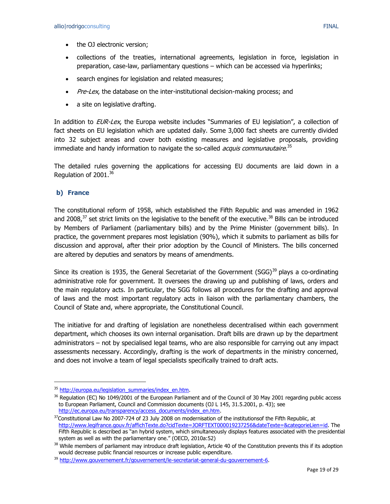- the OJ electronic version;
- collections of the treaties, international agreements, legislation in force, legislation in preparation, case-law, parliamentary questions – which can be accessed via hyperlinks;
- search engines for legislation and related measures;
- Pre-Lex, the database on the inter-institutional decision-making process; and
- a site on legislative drafting.

In addition to EUR-Lex, the Europa website includes "Summaries of EU legislation", a collection of fact sheets on EU legislation which are updated daily. Some 3,000 fact sheets are currently divided into 32 subject areas and cover both existing measures and legislative proposals, providing immediate and handy information to navigate the so-called *acquis communautaire*.<sup>35</sup>

The detailed rules governing the applications for accessing EU documents are laid down in a Regulation of 2001.<sup>36</sup>

#### **b) France**

 $\overline{a}$ 

The constitutional reform of 1958, which established the Fifth Republic and was amended in 1962 and 2008, $37$  set strict limits on the legislative to the benefit of the executive.  $38$  Bills can be introduced by Members of Parliament (parliamentary bills) and by the Prime Minister (government bills). In practice, the government prepares most legislation (90%), which it submits to parliament as bills for discussion and approval, after their prior adoption by the Council of Ministers. The bills concerned are altered by deputies and senators by means of amendments.

Since its creation is 1935, the General Secretariat of the Government (SGG)<sup>39</sup> plays a co-ordinating administrative role for government. It oversees the drawing up and publishing of laws, orders and the main regulatory acts. In particular, the SGG follows all procedures for the drafting and approval of laws and the most important regulatory acts in liaison with the parliamentary chambers, the Council of State and, where appropriate, the Constitutional Council.

The initiative for and drafting of legislation are nonetheless decentralised within each government department, which chooses its own internal organisation. Draft bills are drawn up by the department administrators – not by specialised legal teams, who are also responsible for carrying out any impact assessments necessary. Accordingly, drafting is the work of departments in the ministry concerned, and does not involve a team of legal specialists specifically trained to draft acts.

<sup>&</sup>lt;sup>35</sup> [http://europa.eu/legislation\\_summaries/index\\_en.htm.](http://europa.eu/legislation_summaries/index_en.htm)

<sup>&</sup>lt;sup>36</sup> Regulation (EC) No 1049/2001 of the European Parliament and of the Council of 30 May 2001 regarding public access to European Parliament, Council and Commission documents (OJ L 145, 31.5.2001, p. 43); see [http://ec.europa.eu/transparency/access\\_documents/index\\_en.htm.](http://ec.europa.eu/transparency/access_documents/index_en.htm)

<sup>&</sup>lt;sup>37</sup>Constitutional Law No 2007-724 of 23 July 2008 on modernisation of the institutionsof the Fifth Republic, at [http://www.legifrance.gouv.fr/affichTexte.do?cidTexte=JORFTEXT000019237256&dateTexte=&categorieLien=id.](http://www.legifrance.gouv.fr/affichTexte.do?cidTexte=JORFTEXT000019237256&dateTexte=&categorieLien=id) The Fifth Republic is described as "an hybrid system, which simultaneously displays features associated with the presidential system as well as with the parliamentary one." (OECD, 2010a:52)

<sup>&</sup>lt;sup>38</sup> While members of parliament may introduce draft legislation, Article 40 of the Constitution prevents this if its adoption would decrease public financial resources or increase public expenditure.

<sup>&</sup>lt;sup>39</sup> [http://www.gouvernement.fr/gouvernement/le-secretariat-general-du-gouvernement-6.](http://www.gouvernement.fr/gouvernement/le-secretariat-general-du-gouvernement-6)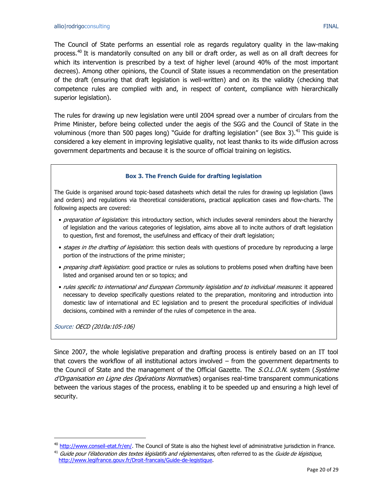The Council of State performs an essential role as regards regulatory quality in the law-making process.<sup>40</sup> It is mandatorily consulted on any bill or draft order, as well as on all draft decrees for which its intervention is prescribed by a text of higher level (around 40% of the most important decrees). Among other opinions, the Council of State issues a recommendation on the presentation of the draft (ensuring that draft legislation is well-written) and on its the validity (checking that competence rules are complied with and, in respect of content, compliance with hierarchically superior legislation).

The rules for drawing up new legislation were until 2004 spread over a number of circulars from the Prime Minister, before being collected under the aegis of the SGG and the Council of State in the voluminous (more than 500 pages long) "Guide for drafting legislation" (see Box 3).<sup>41</sup> This guide is considered a key element in improving legislative quality, not least thanks to its wide diffusion across government departments and because it is the source of official training on legistics.

#### **Box 3. The French Guide for drafting legislation**

The Guide is organised around topic-based datasheets which detail the rules for drawing up legislation (laws and orders) and regulations via theoretical considerations, practical application cases and flow-charts. The following aspects are covered:

- preparation of legislation: this introductory section, which includes several reminders about the hierarchy of legislation and the various categories of legislation, aims above all to incite authors of draft legislation to question, first and foremost, the usefulness and efficacy of their draft legislation;
- stages in the drafting of legislation: this section deals with questions of procedure by reproducing a large portion of the instructions of the prime minister;
- preparing draft legislation: good practice or rules as solutions to problems posed when drafting have been listed and organised around ten or so topics; and
- rules specific to international and European Community legislation and to individual measures: it appeared necessary to develop specifically questions related to the preparation, monitoring and introduction into domestic law of international and EC legislation and to present the procedural specificities of individual decisions, combined with a reminder of the rules of competence in the area.

Source: OECD (2010a:105-106)

 $\overline{a}$ 

Since 2007, the whole legislative preparation and drafting process is entirely based on an IT tool that covers the workflow of all institutional actors involved – from the government departments to the Council of State and the management of the Official Gazette. The *S.O.L.O.N.* system (*Système* d'Organisation en Ligne des Opérations Normatives) organises real-time transparent communications between the various stages of the process, enabling it to be speeded up and ensuring a high level of security.

<sup>&</sup>lt;sup>40</sup> [http://www.conseil-etat.fr/en/.](http://www.conseil-etat.fr/en/) The Council of State is also the highest level of administrative jurisdiction in France.

 $41$  Guide pour l'élaboration des textes législatifs and réglementaires, often referred to as the Guide de légistique, [http://www.legifrance.gouv.fr/Droit-francais/Guide-de-legistique.](http://www.legifrance.gouv.fr/Droit-francais/Guide-de-legistique)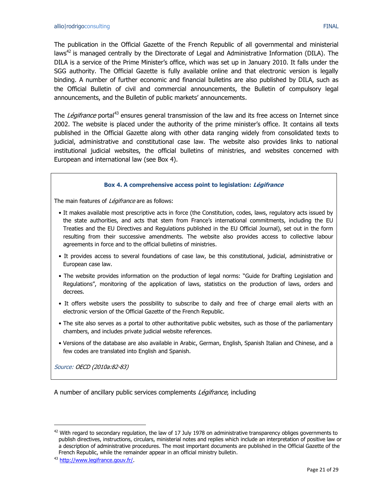The publication in the Official Gazette of the French Republic of all governmental and ministerial laws<sup>42</sup> is managed centrally by the Directorate of Legal and Administrative Information (DILA). The DILA is a service of the Prime Minister's office, which was set up in January 2010. It falls under the SGG authority. The Official Gazette is fully available online and that electronic version is legally binding. A number of further economic and financial bulletins are also published by DILA, such as the Official Bulletin of civil and commercial announcements, the Bulletin of compulsory legal announcements, and the Bulletin of public markets' announcements.

The *Légifrance* portal<sup>43</sup> ensures general transmission of the law and its free access on Internet since 2002. The website is placed under the authority of the prime minister's office. It contains all texts published in the Official Gazette along with other data ranging widely from consolidated texts to judicial, administrative and constitutional case law. The website also provides links to national institutional judicial websites, the official bulletins of ministries, and websites concerned with European and international law (see Box 4).

#### **Box 4. A comprehensive access point to legislation: Légifrance**

The main features of Légifrance are as follows:

- It makes available most prescriptive acts in force (the Constitution, codes, laws, regulatory acts issued by the state authorities, and acts that stem from France's international commitments, including the EU Treaties and the EU Directives and Regulations published in the EU Official Journal), set out in the form resulting from their successive amendments. The website also provides access to collective labour agreements in force and to the official bulletins of ministries.
- It provides access to several foundations of case law, be this constitutional, judicial, administrative or European case law.
- The website provides information on the production of legal norms: "Guide for Drafting Legislation and Regulations", monitoring of the application of laws, statistics on the production of laws, orders and decrees.
- It offers website users the possibility to subscribe to daily and free of charge email alerts with an electronic version of the Official Gazette of the French Republic.
- The site also serves as a portal to other authoritative public websites, such as those of the parliamentary chambers, and includes private judicial website references.
- Versions of the database are also available in Arabic, German, English, Spanish Italian and Chinese, and a few codes are translated into English and Spanish.

Source: OECD (2010a:82-83)

A number of ancillary public services complements *Légifrance*, including

 $42$  With regard to secondary regulation, the law of 17 July 1978 on administrative transparency obliges governments to publish directives, instructions, circulars, ministerial notes and replies which include an interpretation of positive law or a description of administrative procedures. The most important documents are published in the Official Gazette of the French Republic, while the remainder appear in an official ministry bulletin.

<sup>43</sup> [http://www.legifrance.gouv.fr/.](http://www.legifrance.gouv.fr/)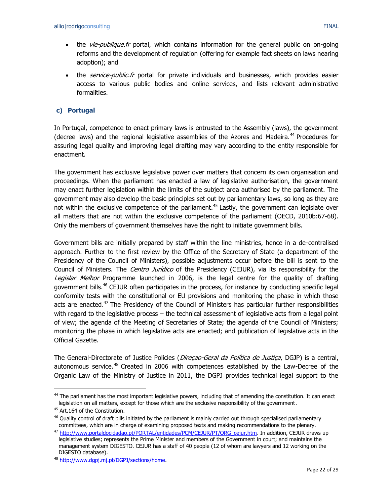- the vie-publique.fr portal, which contains information for the general public on on-going reforms and the development of regulation (offering for example fact sheets on laws nearing adoption); and
- the service-public.fr portal for private individuals and businesses, which provides easier access to various public bodies and online services, and lists relevant administrative formalities.

### **c) Portugal**

In Portugal, competence to enact primary laws is entrusted to the Assembly (laws), the government (decree laws) and the regional legislative assemblies of the Azores and Madeira.<sup>44</sup> Procedures for assuring legal quality and improving legal drafting may vary according to the entity responsible for enactment.

The government has exclusive legislative power over matters that concern its own organisation and proceedings. When the parliament has enacted a law of legislative authorisation, the government may enact further legislation within the limits of the subject area authorised by the parliament. The government may also develop the basic principles set out by parliamentary laws, so long as they are not within the exclusive competence of the parliament.<sup>45</sup> Lastly, the government can legislate over all matters that are not within the exclusive competence of the parliament (OECD, 2010b:67-68). Only the members of government themselves have the right to initiate government bills.

Government bills are initially prepared by staff within the line ministries, hence in a de-centralised approach. Further to the first review by the Office of the Secretary of State (a department of the Presidency of the Council of Ministers), possible adjustments occur before the bill is sent to the Council of Ministers. The Centro Jurídico of the Presidency (CEJUR), via its responsibility for the Legislar Melhor Programme launched in 2006, is the legal centre for the quality of drafting government bills.<sup>46</sup> CEJUR often participates in the process, for instance by conducting specific legal conformity tests with the constitutional or EU provisions and monitoring the phase in which those acts are enacted.<sup>47</sup> The Presidency of the Council of Ministers has particular further responsibilities with regard to the legislative process – the technical assessment of legislative acts from a legal point of view; the agenda of the Meeting of Secretaries of State; the agenda of the Council of Ministers; monitoring the phase in which legislative acts are enacted; and publication of legislative acts in the Official Gazette.

The General-Directorate of Justice Policies (*Direcao-Geral da Política de Justica*, DGJP) is a central, autonomous service.<sup>48</sup> Created in 2006 with competences established by the Law-Decree of the Organic Law of the Ministry of Justice in 2011, the DGPJ provides technical legal support to the

<sup>&</sup>lt;sup>44</sup> The parliament has the most important legislative powers, including that of amending the constitution. It can enact legislation on all matters, except for those which are the exclusive responsibility of the government.

<sup>&</sup>lt;sup>45</sup> Art.164 of the Constitution.

 $46$  Quality control of draft bills initiated by the parliament is mainly carried out through specialised parliamentary committees, which are in charge of examining proposed texts and making recommendations to the plenary.

<sup>&</sup>lt;sup>47</sup> [http://www.portaldocidadao.pt/PORTAL/entidades/PCM/CEJUR/PT/ORG\\_cejur.htm.](http://www.portaldocidadao.pt/PORTAL/entidades/PCM/CEJUR/PT/ORG_cejur.htm) In addition, CEJUR draws up legislative studies; represents the Prime Minister and members of the Government in court; and maintains the management system DIGESTO. CEJUR has a staff of 40 people (12 of whom are lawyers and 12 working on the DIGESTO database).

<sup>48</sup> http://www.dqpj.mj.pt/DGPJ/sections/home.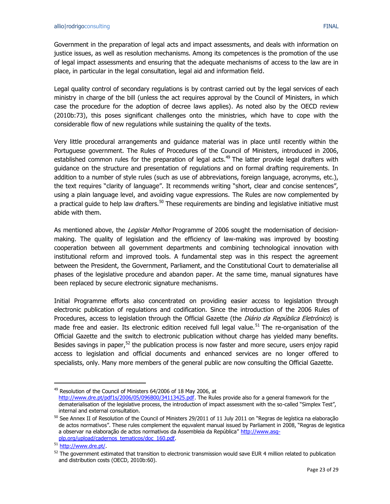Government in the preparation of legal acts and impact assessments, and deals with information on justice issues, as well as resolution mechanisms. Among its competences is the promotion of the use of legal impact assessments and ensuring that the adequate mechanisms of access to the law are in place, in particular in the legal consultation, legal aid and information field.

Legal quality control of secondary regulations is by contrast carried out by the legal services of each ministry in charge of the bill (unless the act requires approval by the Council of Ministers, in which case the procedure for the adoption of decree laws applies). As noted also by the OECD review (2010b:73), this poses significant challenges onto the ministries, which have to cope with the considerable flow of new regulations while sustaining the quality of the texts.

Very little procedural arrangements and guidance material was in place until recently within the Portuguese government. The Rules of Procedures of the Council of Ministers, introduced in 2006, established common rules for the preparation of legal acts.<sup>49</sup> The latter provide legal drafters with guidance on the structure and presentation of regulations and on formal drafting requirements. In addition to a number of style rules (such as use of abbreviations, foreign language, acronyms, etc.), the text requires "clarity of language". It recommends writing "short, clear and concise sentences", using a plain language level, and avoiding vague expressions. The Rules are now complemented by a practical guide to help law drafters.<sup>50</sup> These requirements are binding and legislative initiative must abide with them.

As mentioned above, the *Legislar Melhor* Programme of 2006 sought the modernisation of decisionmaking. The quality of legislation and the efficiency of law-making was improved by boosting cooperation between all government departments and combining technological innovation with institutional reform and improved tools. A fundamental step was in this respect the agreement between the President, the Government, Parliament, and the Constitutional Court to dematerialise all phases of the legislative procedure and abandon paper. At the same time, manual signatures have been replaced by secure electronic signature mechanisms.

Initial Programme efforts also concentrated on providing easier access to legislation through electronic publication of regulations and codification. Since the introduction of the 2006 Rules of Procedures, access to legislation through the Official Gazette (the *Diário da República Eletrónico*) is made free and easier. Its electronic edition received full legal value.<sup>51</sup> The re-organisation of the Official Gazette and the switch to electronic publication without charge has yielded many benefits. Besides savings in paper, $52$  the publication process is now faster and more secure, users enjoy rapid access to legislation and official documents and enhanced services are no longer offered to specialists, only. Many more members of the general public are now consulting the Official Gazette.

<sup>&</sup>lt;sup>49</sup> Resolution of the Council of Ministers 64/2006 of 18 May 2006, at [http://www.dre.pt/pdf1s/2006/05/096B00/34113425.pdf.](http://www.dre.pt/pdf1s/2006/05/096B00/34113425.pdf) The Rules provide also for a general framework for the dematerialisation of the legislative process, the introduction of impact assessment with the so-called "Simplex Test", internal and external consultation.

<sup>&</sup>lt;sup>50</sup> See Annex II of Resolution of the Council of Ministers 29/2011 of 11 July 2011 on "Regras de legística na elaboração de actos normativos". These rules complement the equvalent manual issued by Parliament in 2008, "Regras de legistica a observar na elaboração de actos normativos da Assembleia da República" http://www.asq[plp.org/upload/cadernos\\_tematicos/doc\\_160.pdf.](http://www.asg-plp.org/upload/cadernos_tematicos/doc_160.pdf)

<sup>51</sup> [http://www.dre.pt/.](http://www.dre.pt/)

 $52$  The government estimated that transition to electronic transmission would save EUR 4 million related to publication and distribution costs (OECD, 2010b:60).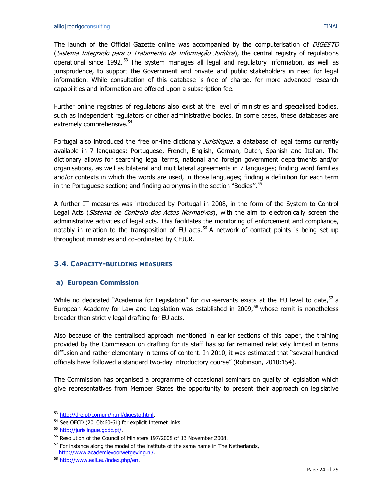The launch of the Official Gazette online was accompanied by the computerisation of *DIGESTO* (Sistema Integrado para o Tratamento da Informação Jurídica), the central registry of regulations operational since 1992. <sup>53</sup> The system manages all legal and regulatory information, as well as jurisprudence, to support the Government and private and public stakeholders in need for legal information. While consultation of this database is free of charge, for more advanced research capabilities and information are offered upon a subscription fee.

Further online registries of regulations also exist at the level of ministries and specialised bodies, such as independent regulators or other administrative bodies. In some cases, these databases are extremely comprehensive.<sup>54</sup>

Portugal also introduced the free on-line dictionary *Jurislingue*, a database of legal terms currently available in 7 languages: Portuguese, French, English, German, Dutch, Spanish and Italian. The dictionary allows for searching legal terms, national and foreign government departments and/or organisations, as well as bilateral and multilateral agreements in 7 languages; finding word families and/or contexts in which the words are used, in those languages; finding a definition for each term in the Portuguese section; and finding acronyms in the section "Bodies".<sup>55</sup>

A further IT measures was introduced by Portugal in 2008, in the form of the System to Control Legal Acts (Sistema de Controlo dos Actos Normativos), with the aim to electronically screen the administrative activities of legal acts. This facilitates the monitoring of enforcement and compliance, notably in relation to the transposition of EU acts.<sup>56</sup> A network of contact points is being set up throughout ministries and co-ordinated by CEJUR.

## <span id="page-23-0"></span>**3.4. CAPACITY-BUILDING MEASURES**

### **a) European Commission**

While no dedicated "Academia for Legislation" for civil-servants exists at the EU level to date,  $57$  a European Academy for Law and Legislation was established in 2009, $^{58}$  whose remit is nonetheless broader than strictly legal drafting for EU acts.

Also because of the centralised approach mentioned in earlier sections of this paper, the training provided by the Commission on drafting for its staff has so far remained relatively limited in terms diffusion and rather elementary in terms of content. In 2010, it was estimated that "several hundred officials have followed a standard two-day introductory course" (Robinson, 2010:154).

The Commission has organised a programme of occasional seminars on quality of legislation which give representatives from Member States the opportunity to present their approach on legislative

<sup>53</sup> [http://dre.pt/comum/html/digesto.html.](http://dre.pt/comum/html/digesto.html)

<sup>54</sup> See OECD (2010b:60-61) for explicit Internet links.

<sup>55</sup> [http://jurislingue.gddc.pt/.](http://jurislingue.gddc.pt/)

<sup>56</sup> Resolution of the Council of Ministers 197/2008 of 13 November 2008.

 $57$  For instance along the model of the institute of the same name in The Netherlands, [http://www.academievoorwetgeving.nl/.](http://www.academievoorwetgeving.nl/)

<sup>58</sup> [http://www.eall.eu/index.php/en.](http://www.eall.eu/index.php/en)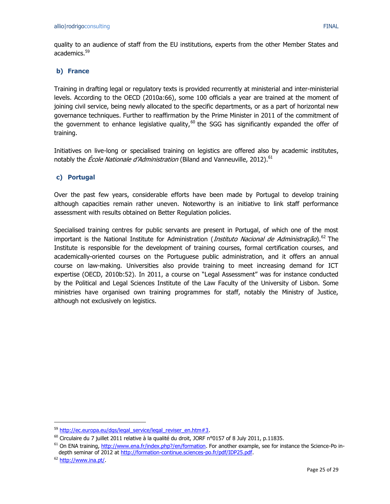quality to an audience of staff from the EU institutions, experts from the other Member States and academics.<sup>59</sup>

#### **b) France**

Training in drafting legal or regulatory texts is provided recurrently at ministerial and inter-ministerial levels. According to the OECD (2010a:66), some 100 officials a year are trained at the moment of joining civil service, being newly allocated to the specific departments, or as a part of horizontal new governance techniques. Further to reaffirmation by the Prime Minister in 2011 of the commitment of the government to enhance legislative quality,<sup>60</sup> the SGG has significantly expanded the offer of training.

Initiatives on live-long or specialised training on legistics are offered also by academic institutes, notably the *École Nationale d'Administration* (Biland and Vanneuville, 2012).<sup>61</sup>

#### **c) Portugal**

Over the past few years, considerable efforts have been made by Portugal to develop training although capacities remain rather uneven. Noteworthy is an initiative to link staff performance assessment with results obtained on Better Regulation policies.

Specialised training centres for public servants are present in Portugal, of which one of the most important is the National Institute for Administration (*Instituto Nacional de Administração*).<sup>62</sup> The Institute is responsible for the development of training courses, formal certification courses, and academically-oriented courses on the Portuguese public administration, and it offers an annual course on law-making. Universities also provide training to meet increasing demand for ICT expertise (OECD, 2010b:52). In 2011, a course on "Legal Assessment" was for instance conducted by the Political and Legal Sciences Institute of the Law Faculty of the University of Lisbon. Some ministries have organised own training programmes for staff, notably the Ministry of Justice, although not exclusively on legistics.

<sup>59</sup> [http://ec.europa.eu/dgs/legal\\_service/legal\\_reviser\\_en.htm#3.](http://ec.europa.eu/dgs/legal_service/legal_reviser_en.htm#3)

<sup>&</sup>lt;sup>60</sup> Circulaire du 7 juillet 2011 relative à la qualité du droit, JORF n°0157 of 8 July 2011, p.11835.

<sup>&</sup>lt;sup>61</sup> On ENA training, [http://www.ena.fr/index.php?/en/formation.](http://www.ena.fr/index.php?/en/formation) For another example, see for instance the Science-Po indepth seminar of 2012 a[t http://formation-continue.sciences-po.fr/pdf/IDP25.pdf.](http://formation-continue.sciences-po.fr/pdf/IDP25.pdf)

<sup>&</sup>lt;sup>62</sup> [http://www.ina.pt/.](http://www.ina.pt/)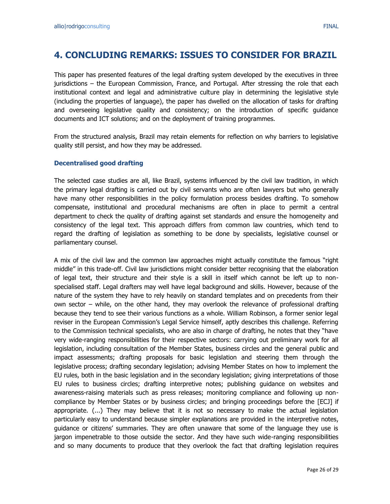# <span id="page-25-0"></span>**4. CONCLUDING REMARKS: ISSUES TO CONSIDER FOR BRAZIL**

This paper has presented features of the legal drafting system developed by the executives in three jurisdictions – the European Commission, France, and Portugal. After stressing the role that each institutional context and legal and administrative culture play in determining the legislative style (including the properties of language), the paper has dwelled on the allocation of tasks for drafting and overseeing legislative quality and consistency; on the introduction of specific guidance documents and ICT solutions; and on the deployment of training programmes.

From the structured analysis, Brazil may retain elements for reflection on why barriers to legislative quality still persist, and how they may be addressed.

#### **Decentralised good drafting**

The selected case studies are all, like Brazil, systems influenced by the civil law tradition, in which the primary legal drafting is carried out by civil servants who are often lawyers but who generally have many other responsibilities in the policy formulation process besides drafting. To somehow compensate, institutional and procedural mechanisms are often in place to permit a central department to check the quality of drafting against set standards and ensure the homogeneity and consistency of the legal text. This approach differs from common law countries, which tend to regard the drafting of legislation as something to be done by specialists, legislative counsel or parliamentary counsel.

A mix of the civil law and the common law approaches might actually constitute the famous "right middle" in this trade-off. Civil law jurisdictions might consider better recognising that the elaboration of legal text, their structure and their style is a skill in itself which cannot be left up to nonspecialised staff. Legal drafters may well have legal background and skills. However, because of the nature of the system they have to rely heavily on standard templates and on precedents from their own sector – while, on the other hand, they may overlook the relevance of professional drafting because they tend to see their various functions as a whole. William Robinson, a former senior legal reviser in the European Commission's Legal Service himself, aptly describes this challenge. Referring to the Commission technical specialists, who are also in charge of drafting, he notes that they "have very wide-ranging responsibilities for their respective sectors: carrying out preliminary work for all legislation, including consultation of the Member States, business circles and the general public and impact assessments; drafting proposals for basic legislation and steering them through the legislative process; drafting secondary legislation; advising Member States on how to implement the EU rules, both in the basic legislation and in the secondary legislation; giving interpretations of those EU rules to business circles; drafting interpretive notes; publishing guidance on websites and awareness-raising materials such as press releases; monitoring compliance and following up noncompliance by Member States or by business circles; and bringing proceedings before the [ECJ] if appropriate. (...) They may believe that it is not so necessary to make the actual legislation particularly easy to understand because simpler explanations are provided in the interpretive notes, guidance or citizens' summaries. They are often unaware that some of the language they use is jargon impenetrable to those outside the sector. And they have such wide-ranging responsibilities and so many documents to produce that they overlook the fact that drafting legislation requires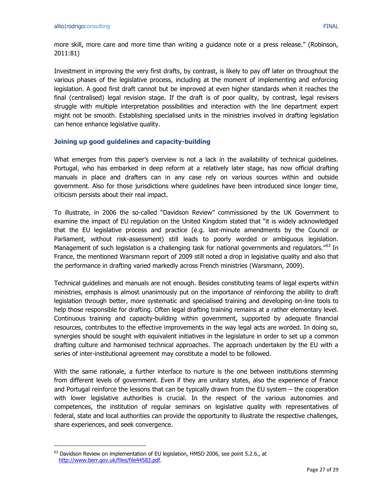more skill, more care and more time than writing a guidance note or a press release." (Robinson, 2011:81)

Investment in improving the very first drafts, by contrast, is likely to pay off later on throughout the various phases of the legislative process, including at the moment of implementing and enforcing legislation. A good first draft cannot but be improved at even higher standards when it reaches the final (centralised) legal revision stage. If the draft is of poor quality, by contrast, legal revisers struggle with multiple interpretation possibilities and interaction with the line department expert might not be smooth. Establishing specialised units in the ministries involved in drafting legislation can hence enhance legislative quality.

#### **Joining up good guidelines and capacity-building**

What emerges from this paper's overview is not a lack in the availability of technical quidelines. Portugal, who has embarked in deep reform at a relatively later stage, has now official drafting manuals in place and drafters can in any case rely on various sources within and outside government. Also for those jurisdictions where guidelines have been introduced since longer time, criticism persists about their real impact.

To illustrate, in 2006 the so-called "Davidson Review" commissioned by the UK Government to examine the impact of EU regulation on the United Kingdom stated that "it is widely acknowledged that the EU legislative process and practice (e.g. last-minute amendments by the Council or Parliament, without risk-assessment) still leads to poorly worded or ambiguous legislation. Management of such legislation is a challenging task for national governments and regulators."<sup>63</sup> In France, the mentioned Warsmann report of 2009 still noted a drop in legislative quality and also that the performance in drafting varied markedly across French ministries (Warsmann, 2009).

Technical guidelines and manuals are not enough. Besides constituting teams of legal experts within ministries, emphasis is almost unanimously put on the importance of reinforcing the ability to draft legislation through better, more systematic and specialised training and developing on-line tools to help those responsible for drafting. Often legal drafting training remains at a rather elementary level. Continuous training and capacity-building within government, supported by adequate financial resources, contributes to the effective improvements in the way legal acts are worded. In doing so, synergies should be sought with equivalent initiatives in the legislature in order to set up a common drafting culture and harmonised technical approaches. The approach undertaken by the EU with a series of inter-institutional agreement may constitute a model to be followed.

With the same rationale, a further interface to nurture is the one between institutions stemming from different levels of government. Even if they are unitary states, also the experience of France and Portugal reinforce the lessons that can be typically drawn from the EU system – the cooperation with lower legislative authorities is crucial. In the respect of the various autonomies and competences, the institution of regular seminars on legislative quality with representatives of federal, state and local authorities can provide the opportunity to illustrate the respective challenges, share experiences, and seek convergence.

 $63$  Davidson Review on implementation of EU legislation, HMSO 2006, see point 5.2.6., at [http://www.berr.gov.uk/files/file44583.pdf.](http://www.berr.gov.uk/files/file44583.pdf)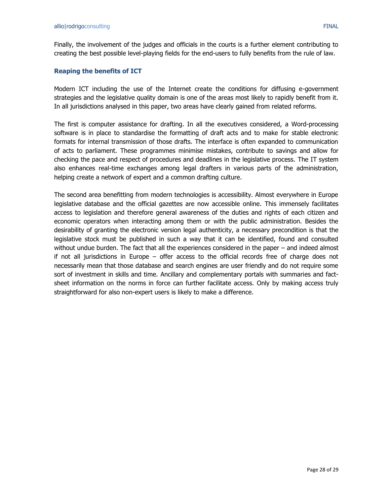Finally, the involvement of the judges and officials in the courts is a further element contributing to creating the best possible level-playing fields for the end-users to fully benefits from the rule of law.

#### **Reaping the benefits of ICT**

Modern ICT including the use of the Internet create the conditions for diffusing e-government strategies and the legislative quality domain is one of the areas most likely to rapidly benefit from it. In all jurisdictions analysed in this paper, two areas have clearly gained from related reforms.

The first is computer assistance for drafting. In all the executives considered, a Word-processing software is in place to standardise the formatting of draft acts and to make for stable electronic formats for internal transmission of those drafts. The interface is often expanded to communication of acts to parliament. These programmes minimise mistakes, contribute to savings and allow for checking the pace and respect of procedures and deadlines in the legislative process. The IT system also enhances real-time exchanges among legal drafters in various parts of the administration, helping create a network of expert and a common drafting culture.

The second area benefitting from modern technologies is accessibility. Almost everywhere in Europe legislative database and the official gazettes are now accessible online. This immensely facilitates access to legislation and therefore general awareness of the duties and rights of each citizen and economic operators when interacting among them or with the public administration. Besides the desirability of granting the electronic version legal authenticity, a necessary precondition is that the legislative stock must be published in such a way that it can be identified, found and consulted without undue burden. The fact that all the experiences considered in the paper – and indeed almost if not all jurisdictions in Europe – offer access to the official records free of charge does not necessarily mean that those database and search engines are user friendly and do not require some sort of investment in skills and time. Ancillary and complementary portals with summaries and factsheet information on the norms in force can further facilitate access. Only by making access truly straightforward for also non-expert users is likely to make a difference.